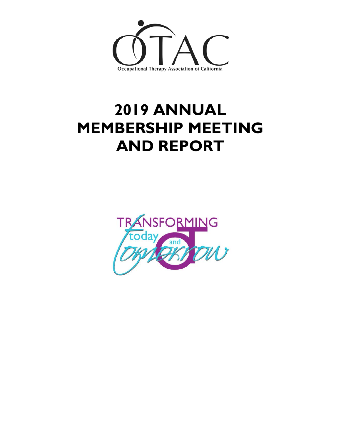

# **2019 ANNUAL MEMBERSHIP MEETING AND REPORT**

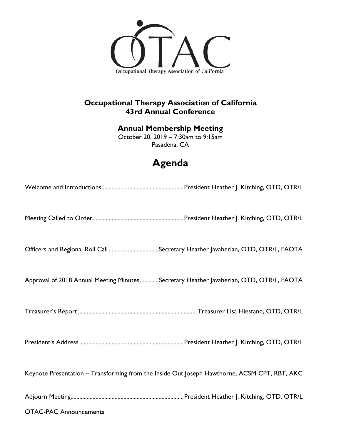

## **Occupational Therapy Association of California 43rd Annual Conference**

#### **Annual Membership Meeting**

October 20, 2019 – 7:30am to 9:15am Pasadena, CA

# **Agenda**

| Approval of 2018 Annual Meeting MinutesSecretary Heather Javaherian, OTD, OTR/L, FAOTA       |  |
|----------------------------------------------------------------------------------------------|--|
|                                                                                              |  |
|                                                                                              |  |
| Keynote Presentation - Transforming from the Inside Out Joseph Hawthorne, ACSM-CPT, RBT, AKC |  |
|                                                                                              |  |
| <b>OTAC-PAC Announcements</b>                                                                |  |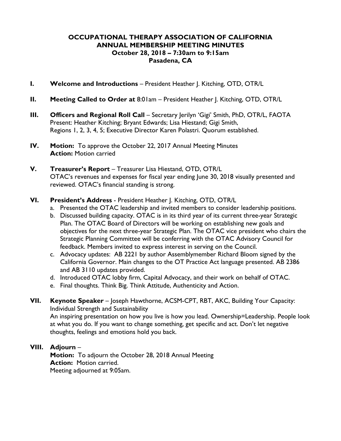#### **OCCUPATIONAL THERAPY ASSOCIATION OF CALIFORNIA ANNUAL MEMBERSHIP MEETING MINUTES October 28, 2018 – 7:30am to 9:15am Pasadena, CA**

- **I. Welcome and Introductions** President Heather J. Kitching, OTD, OTR/L
- **II. Meeting Called to Order at** 8:01am President Heather J. Kitching, OTD, OTR/L
- **III.** Officers and Regional Roll Call Secretary Jerilyn 'Gigi' Smith, PhD, OTR/L, FAOTA Present: Heather Kitching; Bryant Edwards; Lisa Hiestand; Gigi Smith, Regions 1, 2, 3, 4, 5; Executive Director Karen Polastri. Quorum established.
- **IV. Motion:** To approve the October 22, 2017 Annual Meeting Minutes **Action:** Motion carried
- **V. Treasurer's Report**  Treasurer Lisa Hiestand, OTD, OTR/L OTAC's revenues and expenses for fiscal year ending June 30, 2018 visually presented and reviewed. OTAC's financial standing is strong.
- **VI. President's Address** President Heather J. Kitching, OTD, OTR/L
	- a. Presented the OTAC leadership and invited members to consider leadership positions.
	- b. Discussed building capacity. OTAC is in its third year of its current three-year Strategic Plan. The OTAC Board of Directors will be working on establishing new goals and objectives for the next three-year Strategic Plan. The OTAC vice president who chairs the Strategic Planning Committee will be conferring with the OTAC Advisory Council for feedback. Members invited to express interest in serving on the Council.
	- c. Advocacy updates: AB 2221 by author Assemblymember Richard Bloom signed by the California Governor. Main changes to the OT Practice Act language presented. AB 2386 and AB 3110 updates provided.
	- d. Introduced OTAC lobby firm, Capital Advocacy, and their work on behalf of OTAC.
	- e. Final thoughts. Think Big. Think Attitude, Authenticity and Action.
- **VII. Keynote Speaker**  Joseph Hawthorne, ACSM-CPT, RBT, AKC, Building Your Capacity: Individual Strength and Sustainability An inspiring presentation on how you live is how you lead. Ownership=Leadership. People look

at what you do. If you want to change something, get specific and act. Don't let negative thoughts, feelings and emotions hold you back.

## **VIII. Adjourn** –

**Motion:** To adjourn the October 28, 2018 Annual Meeting **Action:** Motion carried. Meeting adjourned at 9:05am.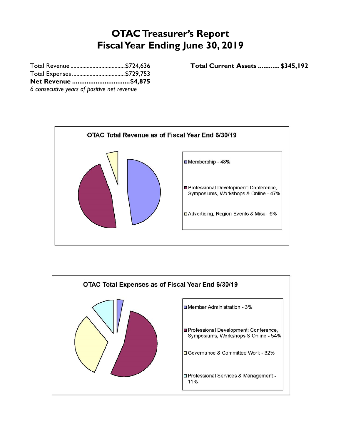# **OTAC Treasurer's Report Fiscal Year Ending June 30, 2019**

| Net Revenue \$4,875                         |  |
|---------------------------------------------|--|
| 6 consecutive years of positive net revenue |  |

Total Revenue ..................................... \$724,636 **Total Current Assets ............ \$345,192**



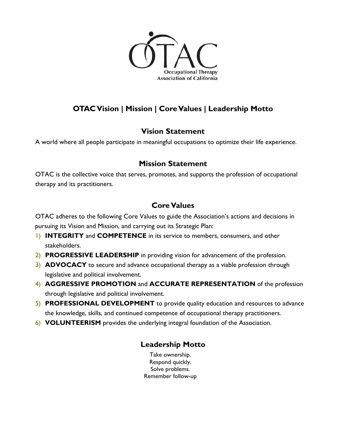

# **OTAC Vision | Mission | Core Values | Leadership Motto**

### **Vision Statement**

A world where all people participate in meaningful occupations to optimize their life experience.

#### **Mission Statement**

OTAC is the collective voice that serves, promotes, and supports the profession of occupational therapy and its practitioners.

### **Core Values**

OTAC adheres to the following Core Values to guide the Association's actions and decisions in pursuing its Vision and Mission, and carrying out its Strategic Plan:

- 1) **INTEGRITY** and **COMPETENCE** in its service to members, consumers, and other stakeholders.
- 2) **PROGRESSIVE LEADERSHIP** in providing vision for advancement of the profession.
- 3) **ADVOCACY** to secure and advance occupational therapy as a viable profession through legislative and political involvement.
- 4) **AGGRESSIVE PROMOTION** and **ACCURATE REPRESENTATION** of the profession through legislative and political involvement.
- 5) **PROFESSIONAL DEVELOPMENT** to provide quality education and resources to advance the knowledge, skills, and continued competence of occupational therapy practitioners.
- 6) **VOLUNTEERISM** provides the underlying integral foundation of the Association.

### **Leadership Motto**

Take ownership. Respond quickly. Solve problems. Remember follow-up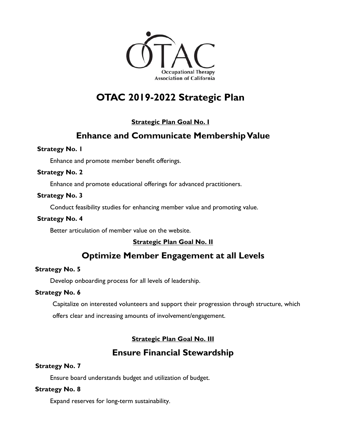

# **OTAC 2019-2022 Strategic Plan**

#### **Strategic Plan Goal No. I**

# **Enhance and Communicate Membership Value**

#### **Strategy No. 1**

Enhance and promote member benefit offerings.

#### **Strategy No. 2**

Enhance and promote educational offerings for advanced practitioners.

#### **Strategy No. 3**

Conduct feasibility studies for enhancing member value and promoting value.

#### **Strategy No. 4**

Better articulation of member value on the website.

#### **Strategic Plan Goal No. II**

# **Optimize Member Engagement at all Levels**

#### **Strategy No. 5**

Develop onboarding process for all levels of leadership.

#### **Strategy No. 6**

Capitalize on interested volunteers and support their progression through structure, which

offers clear and increasing amounts of involvement/engagement.

#### **Strategic Plan Goal No. III**

# **Ensure Financial Stewardship**

#### **Strategy No. 7**

Ensure board understands budget and utilization of budget.

#### **Strategy No. 8**

Expand reserves for long-term sustainability.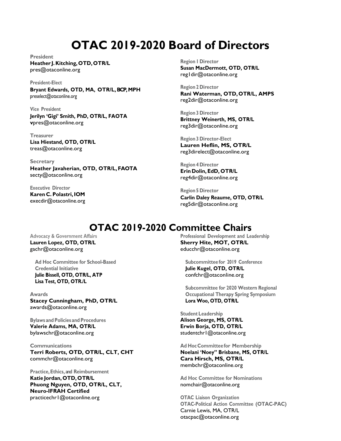# **OTAC 2019-2020 Board of Directors**

**President Heather J. Kitching, OTD, OTR/L** pres@otaconline.org

**President-Elect** 

**Bryant Edwards, OTD, MA, OTR/L, BCP, MPH** preselect@otaconline.org

**Vice President Jerilyn 'Gigi' Smith, PhD, OTR/L, FAOTA v**pres@otaconline.org

**Treasurer Lisa Hiestand, OTD, OTR/L**  treas@otaconline.org

**Secretary Heather Javaherian, OTD, OTR/L, FAOTA** secty@otaconline.org

**Executive Director Karen C. Polastri, IOM**  execdir@otaconline.org **Region 1 Director Susan MacDermott, OTD, OTR/L** reg1dir@otaconline.org

**Region 2 Director Rani Waterman, OTD, OTR/L, AMPS** reg2dir@otaconline.org

**Region 3 Director Brittney Weinerth, MS, OTR/L** reg3dir@otaconline.org

**Region 3 Director-Elect Lauren Heflin, MS, OTR/L**  reg3direlect@otaconline.org

**Region 4 Director Erin Dolin, EdD, OTR/L** reg4dir@otaconline.org

**Region 5 Director Carlin Daley Reaume, OTD, OTR/L** reg5dir@otaconline.org

# **OTAC 2019-2020 Committee Chairs**

**Advocacy & Government Affairs Lauren Lopez, OTD, OTR/L** gachr@otaconline.org

**Ad Hoc Committee for School-Based Credential Initiative Julie Bissell, OTD, OTR/L, ATP Lisa Test, OTD, OTR./L** 

**Awards Stacey Cunningham, PhD, OTR/L**  awards@otaconline.org

**Bylaws and Policies and Procedures Valerie Adams, MA, OTR/L** bylawschr@otaconline.org

**Communications Terri Roberts, OTD, OTR/L, CLT, CHT**  commchr@otaconline.org

**Practice, Ethics, and Reimbursement Katie Jordan, OTD, OTR/L Phuong Nguyen, OTD, OTR/L, CLT, Neuro-IFRAH Certified**  practicechr1@otaconline.org

**Professional Development and Leadership Sherry Hite, MOT, OTR/L**  educchr@otaconline.org

 **Subcommittee for 2019 Conference Julie Kugel, OTD, OTR/L** confchr@otaconline.org

**Subcommittee for 2020 Western Regional Occupational Therapy Spring Symposium Lora Woo, OTD, OTR/L** 

**Student Leadership Alison George, MS, OTR/L Erwin Borja, OTD, OTR/L**  studentchr1@otaconline.org

**Ad Hoc Committee for Membership Noelani 'Noey" Brisbane, MS, OTR/L Cara Hirsch, MS, OTR/L**  membchr@otaconline.org

**Ad Hoc Committee for Nominations** nomchair@otaconline.org

**OTAC Liaison Organization OTAC-Political Action Committee (OTAC-PAC)**  Carnie Lewis, MA, OTR/L otacpac@otaconline.org